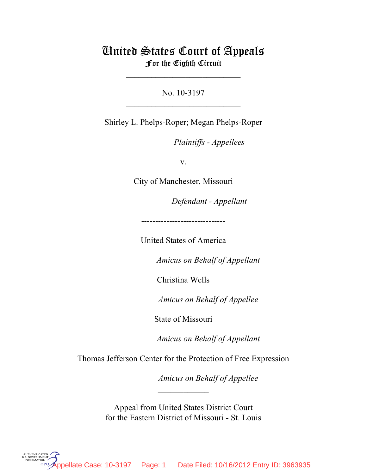# United States Court of Appeals For the Eighth Circuit

\_\_\_\_\_\_\_\_\_\_\_\_\_\_\_\_\_\_\_\_\_\_\_\_\_\_\_

No. 10-3197  $\mathcal{L}_\text{max}$  , where  $\mathcal{L}_\text{max}$  , we have the set of the set of the set of the set of the set of the set of the set of the set of the set of the set of the set of the set of the set of the set of the set of the set of

Shirley L. Phelps-Roper; Megan Phelps-Roper

*Plaintiffs - Appellees* 

v.

City of Manchester, Missouri

lllllllllllllllllllll *Defendant - Appellant*

------------------------------

United States of America

Amicus on Behalf of Appellant

Christina Wells

Amicus on Behalf of Appellee

State of Missouri

Amicus on Behalf of Appellant

Thomas Jefferson Center for the Protection of Free Expression

 $\frac{1}{2}$ 

Amicus on Behalf of Appellee

 Appeal from United States District Court for the Eastern District of Missouri - St. Louis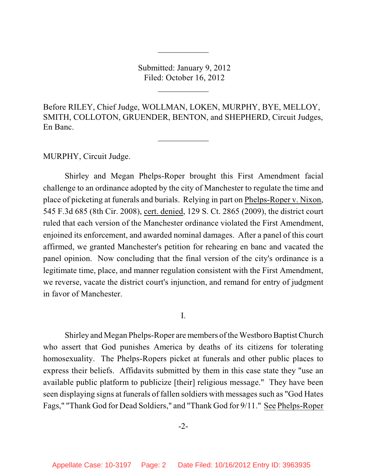Submitted: January 9, 2012 Filed: October 16, 2012

 $\overline{\phantom{a}}$  , where  $\overline{\phantom{a}}$ 

 $\frac{1}{2}$ 

Before RILEY, Chief Judge, WOLLMAN, LOKEN, MURPHY, BYE, MELLOY, SMITH, COLLOTON, GRUENDER, BENTON, and SHEPHERD, Circuit Judges, En Banc.

 $\overline{\phantom{a}}$  , where  $\overline{\phantom{a}}$ 

MURPHY, Circuit Judge.

Shirley and Megan Phelps-Roper brought this First Amendment facial challenge to an ordinance adopted by the city of Manchester to regulate the time and place of picketing at funerals and burials. Relying in part on Phelps-Roper v. Nixon, 545 F.3d 685 (8th Cir. 2008), cert. denied, 129 S. Ct. 2865 (2009), the district court ruled that each version of the Manchester ordinance violated the First Amendment, enjoined its enforcement, and awarded nominal damages. After a panel of this court affirmed, we granted Manchester's petition for rehearing en banc and vacated the panel opinion. Now concluding that the final version of the city's ordinance is a legitimate time, place, and manner regulation consistent with the First Amendment, we reverse, vacate the district court's injunction, and remand for entry of judgment in favor of Manchester.

I.

Shirley and Megan Phelps-Roper are members of the Westboro Baptist Church who assert that God punishes America by deaths of its citizens for tolerating homosexuality. The Phelps-Ropers picket at funerals and other public places to express their beliefs. Affidavits submitted by them in this case state they "use an available public platform to publicize [their] religious message." They have been seen displaying signs at funerals of fallen soldiers with messages such as "God Hates Fags," "Thank God for Dead Soldiers," and "Thank God for 9/11." See Phelps-Roper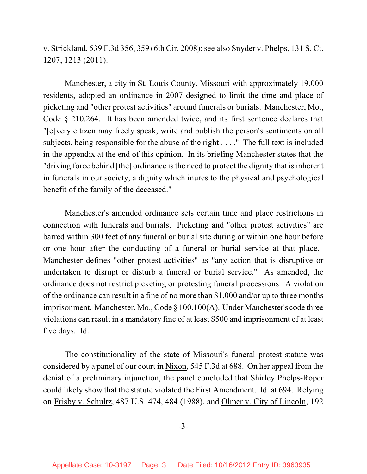# v. Strickland, 539 F.3d 356, 359 (6th Cir. 2008); see also Snyder v. Phelps, 131 S. Ct. 1207, 1213 (2011).

Manchester, a city in St. Louis County, Missouri with approximately 19,000 residents, adopted an ordinance in 2007 designed to limit the time and place of picketing and "other protest activities" around funerals or burials. Manchester, Mo., Code § 210.264. It has been amended twice, and its first sentence declares that "[e]very citizen may freely speak, write and publish the person's sentiments on all subjects, being responsible for the abuse of the right . . . ." The full text is included in the appendix at the end of this opinion. In its briefing Manchester states that the "driving force behind [the] ordinance is the need to protect the dignity that is inherent in funerals in our society, a dignity which inures to the physical and psychological benefit of the family of the deceased."

Manchester's amended ordinance sets certain time and place restrictions in connection with funerals and burials. Picketing and "other protest activities" are barred within 300 feet of any funeral or burial site during or within one hour before or one hour after the conducting of a funeral or burial service at that place. Manchester defines "other protest activities" as "any action that is disruptive or undertaken to disrupt or disturb a funeral or burial service." As amended, the ordinance does not restrict picketing or protesting funeral processions. A violation of the ordinance can result in a fine of no more than \$1,000 and/or up to three months imprisonment. Manchester, Mo., Code § 100.100(A). Under Manchester's code three violations can result in a mandatory fine of at least \$500 and imprisonment of at least five days. Id.

The constitutionality of the state of Missouri's funeral protest statute was considered by a panel of our court in Nixon, 545 F.3d at 688. On her appeal from the denial of a preliminary injunction, the panel concluded that Shirley Phelps-Roper could likely show that the statute violated the First Amendment. Id. at 694. Relying on Frisby v. Schultz, 487 U.S. 474, 484 (1988), and Olmer v. City of Lincoln, 192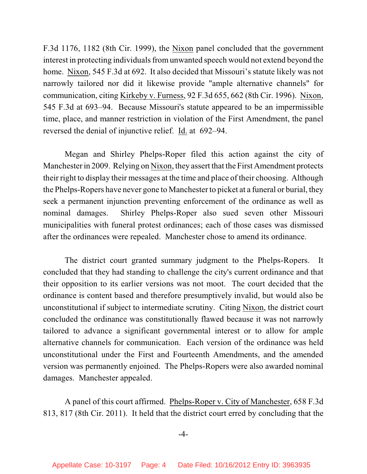F.3d 1176, 1182 (8th Cir. 1999), the Nixon panel concluded that the government interest in protecting individuals from unwanted speech would not extend beyond the home. Nixon, 545 F.3d at 692. It also decided that Missouri's statute likely was not narrowly tailored nor did it likewise provide "ample alternative channels" for communication, citing Kirkeby v. Furness, 92 F.3d 655, 662 (8th Cir. 1996). Nixon, 545 F.3d at 693–94. Because Missouri's statute appeared to be an impermissible time, place, and manner restriction in violation of the First Amendment, the panel reversed the denial of injunctive relief. Id. at 692–94.

Megan and Shirley Phelps-Roper filed this action against the city of Manchester in 2009. Relying on Nixon, they assert that the First Amendment protects their right to display their messages at the time and place of their choosing. Although the Phelps-Ropers have never gone to Manchester to picket at a funeral or burial, they seek a permanent injunction preventing enforcement of the ordinance as well as nominal damages. Shirley Phelps-Roper also sued seven other Missouri municipalities with funeral protest ordinances; each of those cases was dismissed after the ordinances were repealed. Manchester chose to amend its ordinance.

The district court granted summary judgment to the Phelps-Ropers. It concluded that they had standing to challenge the city's current ordinance and that their opposition to its earlier versions was not moot. The court decided that the ordinance is content based and therefore presumptively invalid, but would also be unconstitutional if subject to intermediate scrutiny. Citing Nixon, the district court concluded the ordinance was constitutionally flawed because it was not narrowly tailored to advance a significant governmental interest or to allow for ample alternative channels for communication. Each version of the ordinance was held unconstitutional under the First and Fourteenth Amendments, and the amended version was permanently enjoined. The Phelps-Ropers were also awarded nominal damages. Manchester appealed.

A panel of this court affirmed. Phelps-Roper v. City of Manchester, 658 F.3d 813, 817 (8th Cir. 2011). It held that the district court erred by concluding that the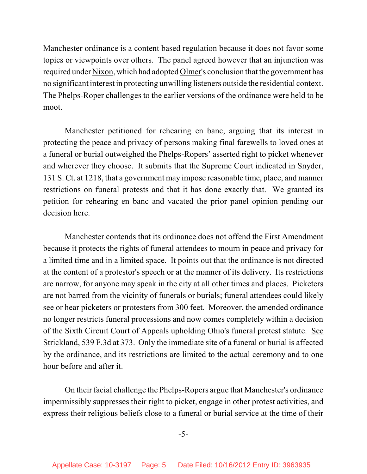Manchester ordinance is a content based regulation because it does not favor some topics or viewpoints over others. The panel agreed however that an injunction was required under Nixon, which had adopted Olmer's conclusion that the government has no significant interest in protecting unwilling listeners outside the residential context. The Phelps-Roper challenges to the earlier versions of the ordinance were held to be moot.

Manchester petitioned for rehearing en banc, arguing that its interest in protecting the peace and privacy of persons making final farewells to loved ones at a funeral or burial outweighed the Phelps-Ropers' asserted right to picket whenever and wherever they choose. It submits that the Supreme Court indicated in Snyder, 131 S. Ct. at 1218, that a government may impose reasonable time, place, and manner restrictions on funeral protests and that it has done exactly that. We granted its petition for rehearing en banc and vacated the prior panel opinion pending our decision here.

Manchester contends that its ordinance does not offend the First Amendment because it protects the rights of funeral attendees to mourn in peace and privacy for a limited time and in a limited space. It points out that the ordinance is not directed at the content of a protestor's speech or at the manner of its delivery. Its restrictions are narrow, for anyone may speak in the city at all other times and places. Picketers are not barred from the vicinity of funerals or burials; funeral attendees could likely see or hear picketers or protesters from 300 feet. Moreover, the amended ordinance no longer restricts funeral processions and now comes completely within a decision of the Sixth Circuit Court of Appeals upholding Ohio's funeral protest statute. See Strickland, 539 F.3d at 373. Only the immediate site of a funeral or burial is affected by the ordinance, and its restrictions are limited to the actual ceremony and to one hour before and after it.

On their facial challenge the Phelps-Ropers argue that Manchester's ordinance impermissibly suppresses their right to picket, engage in other protest activities, and express their religious beliefs close to a funeral or burial service at the time of their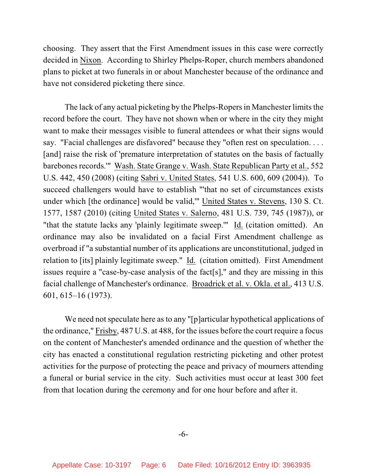choosing. They assert that the First Amendment issues in this case were correctly decided in Nixon. According to Shirley Phelps-Roper, church members abandoned plans to picket at two funerals in or about Manchester because of the ordinance and have not considered picketing there since.

The lack of any actual picketing by the Phelps-Ropers in Manchester limits the record before the court. They have not shown when or where in the city they might want to make their messages visible to funeral attendees or what their signs would say. "Facial challenges are disfavored" because they "often rest on speculation. . . . [and] raise the risk of 'premature interpretation of statutes on the basis of factually barebones records.'" Wash. State Grange v. Wash. State Republican Party et al., 552 U.S. 442, 450 (2008) (citing Sabri v. United States, 541 U.S. 600, 609 (2004)). To succeed challengers would have to establish "'that no set of circumstances exists under which [the ordinance] would be valid,'" United States v. Stevens, 130 S. Ct. 1577, 1587 (2010) (citing United States v. Salerno, 481 U.S. 739, 745 (1987)), or "that the statute lacks any 'plainly legitimate sweep.'" Id. (citation omitted). An ordinance may also be invalidated on a facial First Amendment challenge as overbroad if "a substantial number of its applications are unconstitutional, judged in relation to [its] plainly legitimate sweep." Id. (citation omitted). First Amendment issues require a "case-by-case analysis of the fact[s]," and they are missing in this facial challenge of Manchester's ordinance. Broadrick et al. v. Okla. et al., 413 U.S. 601, 615–16 (1973).

We need not speculate here as to any "[p]articular hypothetical applications of the ordinance," Frisby, 487 U.S. at 488, for the issues before the court require a focus on the content of Manchester's amended ordinance and the question of whether the city has enacted a constitutional regulation restricting picketing and other protest activities for the purpose of protecting the peace and privacy of mourners attending a funeral or burial service in the city. Such activities must occur at least 300 feet from that location during the ceremony and for one hour before and after it.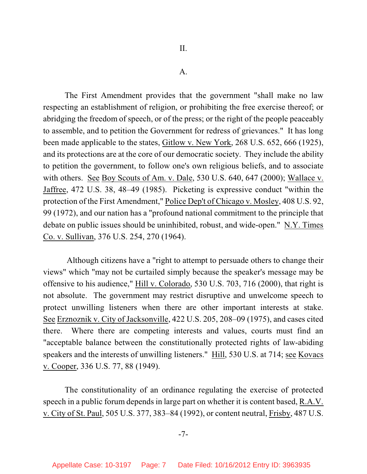#### A.

The First Amendment provides that the government "shall make no law respecting an establishment of religion, or prohibiting the free exercise thereof; or abridging the freedom of speech, or of the press; or the right of the people peaceably to assemble, and to petition the Government for redress of grievances." It has long been made applicable to the states, Gitlow v. New York, 268 U.S. 652, 666 (1925), and its protections are at the core of our democratic society. They include the ability to petition the government, to follow one's own religious beliefs, and to associate with others. See Boy Scouts of Am. v. Dale, 530 U.S. 640, 647 (2000); Wallace v. Jaffree, 472 U.S. 38, 48–49 (1985). Picketing is expressive conduct "within the protection of the First Amendment," Police Dep't of Chicago v. Mosley, 408 U.S. 92, 99 (1972), and our nation has a "profound national commitment to the principle that debate on public issues should be uninhibited, robust, and wide-open." N.Y. Times Co. v. Sullivan, 376 U.S. 254, 270 (1964).

 Although citizens have a "right to attempt to persuade others to change their views" which "may not be curtailed simply because the speaker's message may be offensive to his audience," Hill v. Colorado, 530 U.S. 703, 716 (2000), that right is not absolute. The government may restrict disruptive and unwelcome speech to protect unwilling listeners when there are other important interests at stake. See Erznoznik v. City of Jacksonville, 422 U.S. 205, 208–09 (1975), and cases cited there. Where there are competing interests and values, courts must find an "acceptable balance between the constitutionally protected rights of law-abiding speakers and the interests of unwilling listeners." Hill, 530 U.S. at 714; see Kovacs v. Cooper, 336 U.S. 77, 88 (1949).

The constitutionality of an ordinance regulating the exercise of protected speech in a public forum depends in large part on whether it is content based, R.A.V. v. City of St. Paul, 505 U.S. 377, 383–84 (1992), or content neutral, Frisby, 487 U.S.

-7-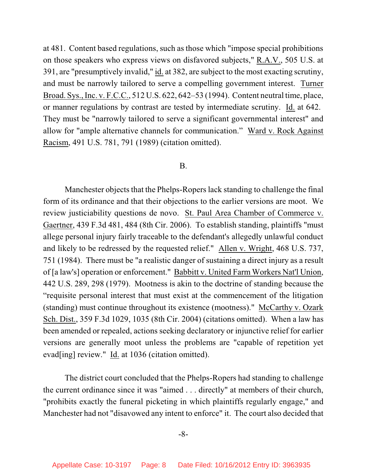at 481. Content based regulations, such as those which "impose special prohibitions on those speakers who express views on disfavored subjects," R.A.V., 505 U.S. at 391, are "presumptively invalid," id. at 382, are subject to the most exacting scrutiny, and must be narrowly tailored to serve a compelling government interest. Turner Broad. Sys., Inc. v. F.C.C., 512 U.S. 622, 642–53 (1994). Content neutral time, place, or manner regulations by contrast are tested by intermediate scrutiny. Id. at 642. They must be "narrowly tailored to serve a significant governmental interest" and allow for "ample alternative channels for communication." Ward v. Rock Against Racism, 491 U.S. 781, 791 (1989) (citation omitted).

## B.

Manchester objects that the Phelps-Ropers lack standing to challenge the final form of its ordinance and that their objections to the earlier versions are moot. We review justiciability questions de novo. St. Paul Area Chamber of Commerce v. Gaertner, 439 F.3d 481, 484 (8th Cir. 2006). To establish standing, plaintiffs "must allege personal injury fairly traceable to the defendant's allegedly unlawful conduct and likely to be redressed by the requested relief." Allen v. Wright, 468 U.S. 737, 751 (1984). There must be "a realistic danger of sustaining a direct injury as a result of [a law's] operation or enforcement." Babbitt v. United Farm Workers Nat'l Union, 442 U.S. 289, 298 (1979). Mootness is akin to the doctrine of standing because the "requisite personal interest that must exist at the commencement of the litigation (standing) must continue throughout its existence (mootness)." McCarthy v. Ozark Sch. Dist., 359 F.3d 1029, 1035 (8th Cir. 2004) (citations omitted). When a law has been amended or repealed, actions seeking declaratory or injunctive relief for earlier versions are generally moot unless the problems are "capable of repetition yet evad[ing] review." Id. at 1036 (citation omitted).

The district court concluded that the Phelps-Ropers had standing to challenge the current ordinance since it was "aimed . . . directly" at members of their church, "prohibits exactly the funeral picketing in which plaintiffs regularly engage," and Manchester had not "disavowed any intent to enforce" it. The court also decided that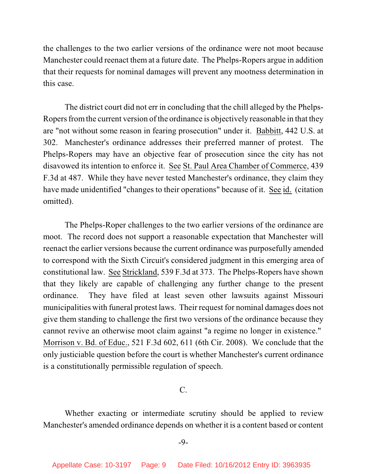the challenges to the two earlier versions of the ordinance were not moot because Manchester could reenact them at a future date. The Phelps-Ropers argue in addition that their requests for nominal damages will prevent any mootness determination in this case.

The district court did not err in concluding that the chill alleged by the Phelps-Ropers from the current version of the ordinance is objectively reasonable in that they are "not without some reason in fearing prosecution" under it. Babbitt, 442 U.S. at 302. Manchester's ordinance addresses their preferred manner of protest. The Phelps-Ropers may have an objective fear of prosecution since the city has not disavowed its intention to enforce it. See St. Paul Area Chamber of Commerce, 439 F.3d at 487. While they have never tested Manchester's ordinance, they claim they have made unidentified "changes to their operations" because of it. See id. (citation omitted).

The Phelps-Roper challenges to the two earlier versions of the ordinance are moot. The record does not support a reasonable expectation that Manchester will reenact the earlier versions because the current ordinance was purposefully amended to correspond with the Sixth Circuit's considered judgment in this emerging area of constitutional law. See Strickland, 539 F.3d at 373. The Phelps-Ropers have shown that they likely are capable of challenging any further change to the present ordinance. They have filed at least seven other lawsuits against Missouri municipalities with funeral protest laws. Their request for nominal damages does not give them standing to challenge the first two versions of the ordinance because they cannot revive an otherwise moot claim against "a regime no longer in existence." Morrison v. Bd. of Educ., 521 F.3d 602, 611 (6th Cir. 2008). We conclude that the only justiciable question before the court is whether Manchester's current ordinance is a constitutionally permissible regulation of speech.

C.

Whether exacting or intermediate scrutiny should be applied to review Manchester's amended ordinance depends on whether it is a content based or content

-9-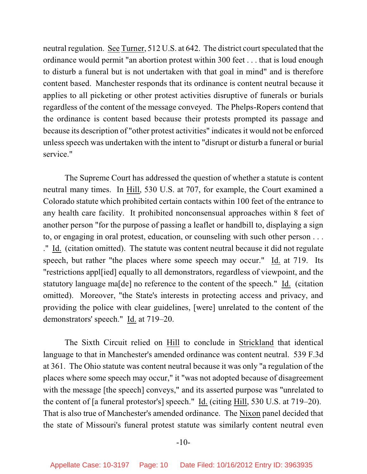neutral regulation. See Turner, 512 U.S. at 642. The district court speculated that the ordinance would permit "an abortion protest within 300 feet . . . that is loud enough to disturb a funeral but is not undertaken with that goal in mind" and is therefore content based. Manchester responds that its ordinance is content neutral because it applies to all picketing or other protest activities disruptive of funerals or burials regardless of the content of the message conveyed. The Phelps-Ropers contend that the ordinance is content based because their protests prompted its passage and because its description of "other protest activities" indicates it would not be enforced unless speech was undertaken with the intent to "disrupt or disturb a funeral or burial service."

The Supreme Court has addressed the question of whether a statute is content neutral many times. In Hill, 530 U.S. at 707, for example, the Court examined a Colorado statute which prohibited certain contacts within 100 feet of the entrance to any health care facility. It prohibited nonconsensual approaches within 8 feet of another person "for the purpose of passing a leaflet or handbill to, displaying a sign to, or engaging in oral protest, education, or counseling with such other person . . . ." Id. (citation omitted). The statute was content neutral because it did not regulate speech, but rather "the places where some speech may occur." Id. at 719. Its "restrictions appl[ied] equally to all demonstrators, regardless of viewpoint, and the statutory language ma[de] no reference to the content of the speech." Id. (citation omitted). Moreover, "the State's interests in protecting access and privacy, and providing the police with clear guidelines, [were] unrelated to the content of the demonstrators' speech." Id. at 719–20.

The Sixth Circuit relied on Hill to conclude in Strickland that identical language to that in Manchester's amended ordinance was content neutral. 539 F.3d at 361. The Ohio statute was content neutral because it was only "a regulation of the places where some speech may occur," it "was not adopted because of disagreement with the message [the speech] conveys," and its asserted purpose was "unrelated to the content of [a funeral protestor's] speech." Id. (citing Hill, 530 U.S. at 719–20). That is also true of Manchester's amended ordinance. The Nixon panel decided that the state of Missouri's funeral protest statute was similarly content neutral even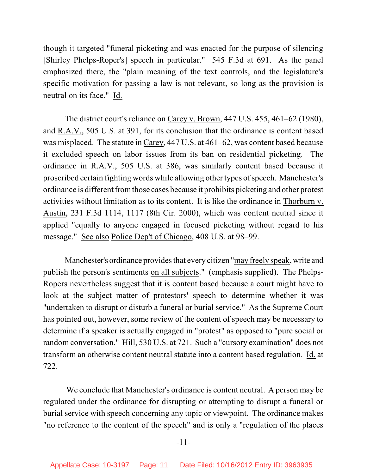though it targeted "funeral picketing and was enacted for the purpose of silencing [Shirley Phelps-Roper's] speech in particular." 545 F.3d at 691. As the panel emphasized there, the "plain meaning of the text controls, and the legislature's specific motivation for passing a law is not relevant, so long as the provision is neutral on its face." Id.

The district court's reliance on Carey v. Brown, 447 U.S. 455, 461–62 (1980), and R.A.V., 505 U.S. at 391, for its conclusion that the ordinance is content based was misplaced. The statute in Carey, 447 U.S. at 461–62, was content based because it excluded speech on labor issues from its ban on residential picketing. The ordinance in R.A.V., 505 U.S. at 386, was similarly content based because it proscribed certain fighting words while allowing other types of speech. Manchester's ordinance is different from those cases because it prohibits picketing and other protest activities without limitation as to its content. It is like the ordinance in Thorburn v. Austin, 231 F.3d 1114, 1117 (8th Cir. 2000), which was content neutral since it applied "equally to anyone engaged in focused picketing without regard to his message." See also Police Dep't of Chicago, 408 U.S. at 98–99.

Manchester's ordinance provides that every citizen "may freely speak, write and publish the person's sentiments on all subjects." (emphasis supplied). The Phelps-Ropers nevertheless suggest that it is content based because a court might have to look at the subject matter of protestors' speech to determine whether it was "undertaken to disrupt or disturb a funeral or burial service." As the Supreme Court has pointed out, however, some review of the content of speech may be necessary to determine if a speaker is actually engaged in "protest" as opposed to "pure social or random conversation." Hill, 530 U.S. at 721. Such a "cursory examination" does not transform an otherwise content neutral statute into a content based regulation. Id. at 722.

 We conclude that Manchester's ordinance is content neutral. A person may be regulated under the ordinance for disrupting or attempting to disrupt a funeral or burial service with speech concerning any topic or viewpoint. The ordinance makes "no reference to the content of the speech" and is only a "regulation of the places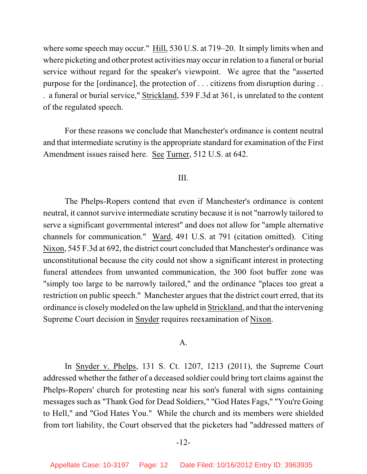where some speech may occur." Hill, 530 U.S. at 719–20. It simply limits when and where picketing and other protest activities may occur in relation to a funeral or burial service without regard for the speaker's viewpoint. We agree that the "asserted purpose for the [ordinance], the protection of . . . citizens from disruption during . . . a funeral or burial service," Strickland, 539 F.3d at 361, is unrelated to the content of the regulated speech.

For these reasons we conclude that Manchester's ordinance is content neutral and that intermediate scrutiny is the appropriate standard for examination of the First Amendment issues raised here. See Turner, 512 U.S. at 642.

## III.

The Phelps-Ropers contend that even if Manchester's ordinance is content neutral, it cannot survive intermediate scrutiny because it is not "narrowly tailored to serve a significant governmental interest" and does not allow for "ample alternative channels for communication." Ward, 491 U.S. at 791 (citation omitted). Citing Nixon, 545 F.3d at 692, the district court concluded that Manchester's ordinance was unconstitutional because the city could not show a significant interest in protecting funeral attendees from unwanted communication, the 300 foot buffer zone was "simply too large to be narrowly tailored," and the ordinance "places too great a restriction on public speech." Manchester argues that the district court erred, that its ordinance is closely modeled on the law upheld in Strickland, and that the intervening Supreme Court decision in Snyder requires reexamination of Nixon.

### A.

In Snyder v. Phelps, 131 S. Ct. 1207, 1213 (2011), the Supreme Court addressed whether the father of a deceased soldier could bring tort claims against the Phelps-Ropers' church for protesting near his son's funeral with signs containing messages such as "Thank God for Dead Soldiers," "God Hates Fags," "You're Going to Hell," and "God Hates You." While the church and its members were shielded from tort liability, the Court observed that the picketers had "addressed matters of

#### -12-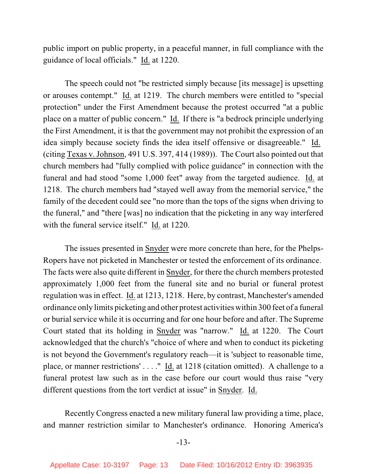public import on public property, in a peaceful manner, in full compliance with the guidance of local officials." Id. at 1220.

The speech could not "be restricted simply because [its message] is upsetting or arouses contempt." Id. at 1219. The church members were entitled to "special protection" under the First Amendment because the protest occurred "at a public place on a matter of public concern." Id. If there is "a bedrock principle underlying the First Amendment, it is that the government may not prohibit the expression of an idea simply because society finds the idea itself offensive or disagreeable." Id. (citing Texas v. Johnson, 491 U.S. 397, 414 (1989)). The Court also pointed out that church members had "fully complied with police guidance" in connection with the funeral and had stood "some 1,000 feet" away from the targeted audience. Id. at 1218. The church members had "stayed well away from the memorial service," the family of the decedent could see "no more than the tops of the signs when driving to the funeral," and "there [was] no indication that the picketing in any way interfered with the funeral service itself." Id. at 1220.

The issues presented in Snyder were more concrete than here, for the Phelps-Ropers have not picketed in Manchester or tested the enforcement of its ordinance. The facts were also quite different in Snyder, for there the church members protested approximately 1,000 feet from the funeral site and no burial or funeral protest regulation was in effect. Id. at 1213, 1218. Here, by contrast, Manchester's amended ordinance only limits picketing and other protest activities within 300 feet of a funeral or burial service while it is occurring and for one hour before and after. The Supreme Court stated that its holding in Snyder was "narrow." Id. at 1220. The Court acknowledged that the church's "choice of where and when to conduct its picketing is not beyond the Government's regulatory reach—it is 'subject to reasonable time, place, or manner restrictions' . . . ." Id. at 1218 (citation omitted). A challenge to a funeral protest law such as in the case before our court would thus raise "very different questions from the tort verdict at issue" in Snyder. Id.

Recently Congress enacted a new military funeral law providing a time, place, and manner restriction similar to Manchester's ordinance. Honoring America's

#### -13-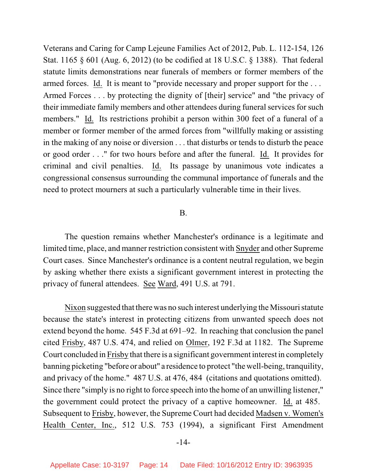Veterans and Caring for Camp Lejeune Families Act of 2012, Pub. L. 112-154, 126 Stat. 1165 § 601 (Aug. 6, 2012) (to be codified at 18 U.S.C. § 1388). That federal statute limits demonstrations near funerals of members or former members of the armed forces. Id. It is meant to "provide necessary and proper support for the . . . Armed Forces . . . by protecting the dignity of [their] service" and "the privacy of their immediate family members and other attendees during funeral services for such members." Id. Its restrictions prohibit a person within 300 feet of a funeral of a member or former member of the armed forces from "willfully making or assisting in the making of any noise or diversion . . . that disturbs or tends to disturb the peace or good order . . ." for two hours before and after the funeral. Id. It provides for criminal and civil penalties. Id. Its passage by unanimous vote indicates a congressional consensus surrounding the communal importance of funerals and the need to protect mourners at such a particularly vulnerable time in their lives.

#### B.

The question remains whether Manchester's ordinance is a legitimate and limited time, place, and manner restriction consistent with Snyder and other Supreme Court cases. Since Manchester's ordinance is a content neutral regulation, we begin by asking whether there exists a significant government interest in protecting the privacy of funeral attendees. See Ward, 491 U.S. at 791.

Nixon suggested that there was no such interest underlying the Missouri statute because the state's interest in protecting citizens from unwanted speech does not extend beyond the home. 545 F.3d at 691–92. In reaching that conclusion the panel cited Frisby, 487 U.S. 474, and relied on Olmer, 192 F.3d at 1182. The Supreme Court concluded in Frisby that there is a significant government interest in completely banning picketing "before or about" a residence to protect "the well-being, tranquility, and privacy of the home." 487 U.S. at 476, 484 (citations and quotations omitted). Since there "simply is no right to force speech into the home of an unwilling listener," the government could protect the privacy of a captive homeowner. Id. at 485. Subsequent to Frisby, however, the Supreme Court had decided Madsen v. Women's Health Center, Inc., 512 U.S. 753 (1994), a significant First Amendment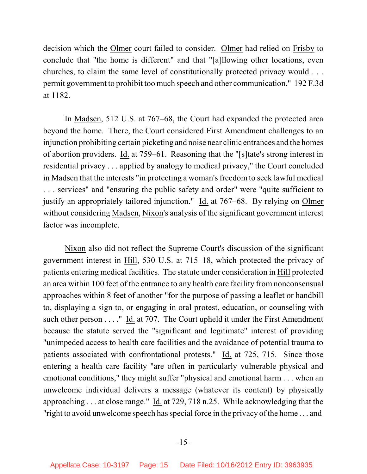decision which the Olmer court failed to consider. Olmer had relied on Frisby to conclude that "the home is different" and that "[a]llowing other locations, even churches, to claim the same level of constitutionally protected privacy would . . . permit government to prohibit too much speech and other communication." 192 F.3d at 1182.

In Madsen, 512 U.S. at 767–68, the Court had expanded the protected area beyond the home. There, the Court considered First Amendment challenges to an injunction prohibiting certain picketing and noise near clinic entrances and the homes of abortion providers. Id. at 759–61. Reasoning that the "[s]tate's strong interest in residential privacy . . . applied by analogy to medical privacy," the Court concluded in Madsen that the interests "in protecting a woman's freedom to seek lawful medical . . . services" and "ensuring the public safety and order" were "quite sufficient to justify an appropriately tailored injunction." Id. at 767–68. By relying on Olmer without considering Madsen, Nixon's analysis of the significant government interest factor was incomplete.

Nixon also did not reflect the Supreme Court's discussion of the significant government interest in Hill, 530 U.S. at 715–18, which protected the privacy of patients entering medical facilities. The statute under consideration in Hill protected an area within 100 feet of the entrance to any health care facility from nonconsensual approaches within 8 feet of another "for the purpose of passing a leaflet or handbill to, displaying a sign to, or engaging in oral protest, education, or counseling with such other person . . . ." Id. at 707. The Court upheld it under the First Amendment because the statute served the "significant and legitimate" interest of providing "unimpeded access to health care facilities and the avoidance of potential trauma to patients associated with confrontational protests." Id. at 725, 715. Since those entering a health care facility "are often in particularly vulnerable physical and emotional conditions," they might suffer "physical and emotional harm . . . when an unwelcome individual delivers a message (whatever its content) by physically approaching . . . at close range." Id. at 729, 718 n.25. While acknowledging that the "right to avoid unwelcome speech has special force in the privacy of the home . . . and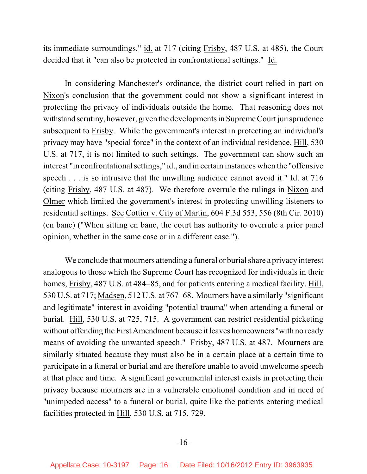its immediate surroundings," id. at 717 (citing Frisby, 487 U.S. at 485), the Court decided that it "can also be protected in confrontational settings." Id.

In considering Manchester's ordinance, the district court relied in part on Nixon's conclusion that the government could not show a significant interest in protecting the privacy of individuals outside the home. That reasoning does not withstand scrutiny, however, given the developments in Supreme Court jurisprudence subsequent to Frisby. While the government's interest in protecting an individual's privacy may have "special force" in the context of an individual residence, Hill, 530 U.S. at 717, it is not limited to such settings. The government can show such an interest "in confrontational settings," id., and in certain instances when the "offensive speech . . . is so intrusive that the unwilling audience cannot avoid it." Id. at 716 (citing Frisby, 487 U.S. at 487). We therefore overrule the rulings in Nixon and Olmer which limited the government's interest in protecting unwilling listeners to residential settings. See Cottier v. City of Martin, 604 F.3d 553, 556 (8th Cir. 2010) (en banc) ("When sitting en banc, the court has authority to overrule a prior panel opinion, whether in the same case or in a different case.").

We conclude that mourners attending a funeral or burial share a privacy interest analogous to those which the Supreme Court has recognized for individuals in their homes, Frisby, 487 U.S. at 484–85, and for patients entering a medical facility, Hill, 530 U.S. at 717; Madsen, 512 U.S. at 767–68. Mourners have a similarly "significant and legitimate" interest in avoiding "potential trauma" when attending a funeral or burial. Hill, 530 U.S. at 725, 715. A government can restrict residential picketing without offending the First Amendment because it leaves homeowners "with no ready means of avoiding the unwanted speech." Frisby, 487 U.S. at 487. Mourners are similarly situated because they must also be in a certain place at a certain time to participate in a funeral or burial and are therefore unable to avoid unwelcome speech at that place and time. A significant governmental interest exists in protecting their privacy because mourners are in a vulnerable emotional condition and in need of "unimpeded access" to a funeral or burial, quite like the patients entering medical facilities protected in Hill, 530 U.S. at 715, 729.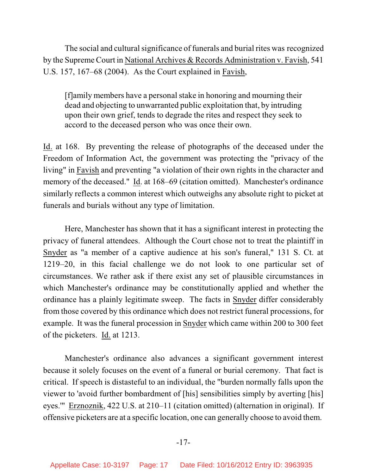The social and cultural significance of funerals and burial rites was recognized by the Supreme Court in National Archives & Records Administration v. Favish, 541 U.S. 157, 167–68 (2004). As the Court explained in Favish,

[f]amily members have a personal stake in honoring and mourning their dead and objecting to unwarranted public exploitation that, by intruding upon their own grief, tends to degrade the rites and respect they seek to accord to the deceased person who was once their own.

Id. at 168. By preventing the release of photographs of the deceased under the Freedom of Information Act, the government was protecting the "privacy of the living" in Favish and preventing "a violation of their own rights in the character and memory of the deceased." Id. at 168–69 (citation omitted). Manchester's ordinance similarly reflects a common interest which outweighs any absolute right to picket at funerals and burials without any type of limitation.

Here, Manchester has shown that it has a significant interest in protecting the privacy of funeral attendees. Although the Court chose not to treat the plaintiff in Snyder as "a member of a captive audience at his son's funeral," 131 S. Ct. at 1219–20, in this facial challenge we do not look to one particular set of circumstances. We rather ask if there exist any set of plausible circumstances in which Manchester's ordinance may be constitutionally applied and whether the ordinance has a plainly legitimate sweep. The facts in Snyder differ considerably from those covered by this ordinance which does not restrict funeral processions, for example. It was the funeral procession in Snyder which came within 200 to 300 feet of the picketers. Id. at 1213.

Manchester's ordinance also advances a significant government interest because it solely focuses on the event of a funeral or burial ceremony. That fact is critical. If speech is distasteful to an individual, the "burden normally falls upon the viewer to 'avoid further bombardment of [his] sensibilities simply by averting [his] eyes.'" Erznoznik, 422 U.S. at 210–11 (citation omitted) (alternation in original). If offensive picketers are at a specific location, one can generally choose to avoid them.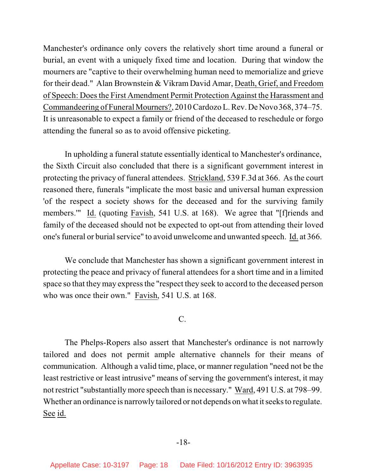Manchester's ordinance only covers the relatively short time around a funeral or burial, an event with a uniquely fixed time and location. During that window the mourners are "captive to their overwhelming human need to memorialize and grieve for their dead." Alan Brownstein & Vikram David Amar, Death, Grief, and Freedom of Speech: Does the First Amendment Permit Protection Against the Harassment and Commandeering of Funeral Mourners?, 2010 Cardozo L. Rev. De Novo 368, 374–75. It is unreasonable to expect a family or friend of the deceased to reschedule or forgo attending the funeral so as to avoid offensive picketing.

In upholding a funeral statute essentially identical to Manchester's ordinance, the Sixth Circuit also concluded that there is a significant government interest in protecting the privacy of funeral attendees. Strickland, 539 F.3d at 366. As the court reasoned there, funerals "implicate the most basic and universal human expression 'of the respect a society shows for the deceased and for the surviving family members.'" Id. (quoting Favish, 541 U.S. at 168). We agree that "[f]riends and family of the deceased should not be expected to opt-out from attending their loved one's funeral or burial service" to avoid unwelcome and unwanted speech. Id. at 366.

We conclude that Manchester has shown a significant government interest in protecting the peace and privacy of funeral attendees for a short time and in a limited space so that they may express the "respect they seek to accord to the deceased person who was once their own." Favish, 541 U.S. at 168.

C.

The Phelps-Ropers also assert that Manchester's ordinance is not narrowly tailored and does not permit ample alternative channels for their means of communication. Although a valid time, place, or manner regulation "need not be the least restrictive or least intrusive" means of serving the government's interest, it may not restrict "substantially more speech than is necessary." Ward, 491 U.S. at 798–99. Whether an ordinance is narrowly tailored or not depends on what it seeks to regulate. See id.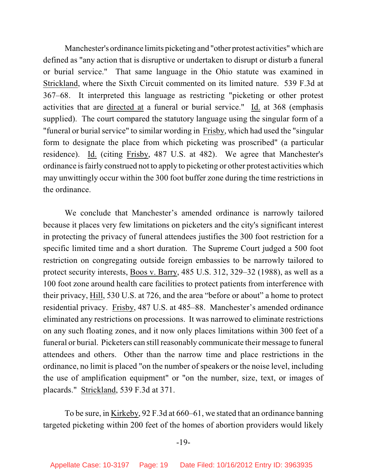Manchester's ordinance limits picketing and "other protest activities" which are defined as "any action that is disruptive or undertaken to disrupt or disturb a funeral or burial service." That same language in the Ohio statute was examined in Strickland, where the Sixth Circuit commented on its limited nature. 539 F.3d at 367–68. It interpreted this language as restricting "picketing or other protest activities that are directed at a funeral or burial service." Id. at 368 (emphasis supplied). The court compared the statutory language using the singular form of a "funeral or burial service" to similar wording in Frisby, which had used the "singular form to designate the place from which picketing was proscribed" (a particular residence). Id. (citing Frisby, 487 U.S. at 482). We agree that Manchester's ordinance is fairly construed not to apply to picketing or other protest activities which may unwittingly occur within the 300 foot buffer zone during the time restrictions in the ordinance.

We conclude that Manchester's amended ordinance is narrowly tailored because it places very few limitations on picketers and the city's significant interest in protecting the privacy of funeral attendees justifies the 300 foot restriction for a specific limited time and a short duration. The Supreme Court judged a 500 foot restriction on congregating outside foreign embassies to be narrowly tailored to protect security interests, Boos v. Barry, 485 U.S. 312, 329–32 (1988), as well as a 100 foot zone around health care facilities to protect patients from interference with their privacy, Hill, 530 U.S. at 726, and the area "before or about" a home to protect residential privacy. Frisby, 487 U.S. at 485–88. Manchester's amended ordinance eliminated any restrictions on processions. It was narrowed to eliminate restrictions on any such floating zones, and it now only places limitations within 300 feet of a funeral or burial. Picketers can still reasonably communicate their message to funeral attendees and others. Other than the narrow time and place restrictions in the ordinance, no limit is placed "on the number of speakers or the noise level, including the use of amplification equipment" or "on the number, size, text, or images of placards." Strickland, 539 F.3d at 371.

To be sure, in Kirkeby, 92 F.3d at 660–61, we stated that an ordinance banning targeted picketing within 200 feet of the homes of abortion providers would likely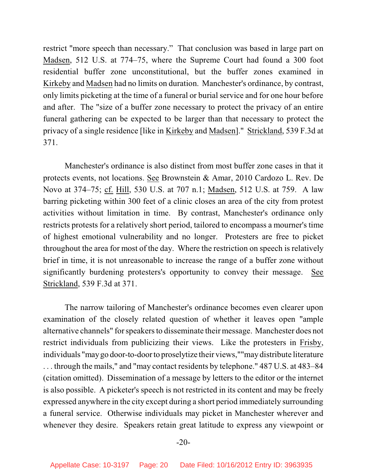restrict "more speech than necessary." That conclusion was based in large part on Madsen, 512 U.S. at 774–75, where the Supreme Court had found a 300 foot residential buffer zone unconstitutional, but the buffer zones examined in Kirkeby and Madsen had no limits on duration. Manchester's ordinance, by contrast, only limits picketing at the time of a funeral or burial service and for one hour before and after. The "size of a buffer zone necessary to protect the privacy of an entire funeral gathering can be expected to be larger than that necessary to protect the privacy of a single residence [like in Kirkeby and Madsen]." Strickland, 539 F.3d at 371.

Manchester's ordinance is also distinct from most buffer zone cases in that it protects events, not locations. See Brownstein & Amar, 2010 Cardozo L. Rev. De Novo at 374–75; cf. Hill, 530 U.S. at 707 n.1; Madsen, 512 U.S. at 759. A law barring picketing within 300 feet of a clinic closes an area of the city from protest activities without limitation in time. By contrast, Manchester's ordinance only restricts protests for a relatively short period, tailored to encompass a mourner's time of highest emotional vulnerability and no longer. Protesters are free to picket throughout the area for most of the day. Where the restriction on speech is relatively brief in time, it is not unreasonable to increase the range of a buffer zone without significantly burdening protesters's opportunity to convey their message. See Strickland, 539 F.3d at 371.

The narrow tailoring of Manchester's ordinance becomes even clearer upon examination of the closely related question of whether it leaves open "ample alternative channels" for speakers to disseminate their message. Manchester does not restrict individuals from publicizing their views. Like the protesters in Frisby, individuals "may go door-to-door to proselytize their views,""may distribute literature . . . through the mails," and "may contact residents by telephone." 487 U.S. at 483–84 (citation omitted). Dissemination of a message by letters to the editor or the internet is also possible. A picketer's speech is not restricted in its content and may be freely expressed anywhere in the city except during a short period immediately surrounding a funeral service. Otherwise individuals may picket in Manchester wherever and whenever they desire. Speakers retain great latitude to express any viewpoint or

#### -20-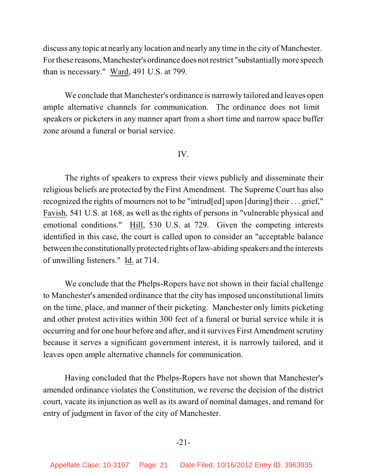discuss any topic at nearly any location and nearly any time in the city of Manchester. For these reasons, Manchester's ordinance does not restrict "substantially more speech than is necessary." Ward, 491 U.S. at 799.

We conclude that Manchester's ordinance is narrowly tailored and leaves open ample alternative channels for communication. The ordinance does not limit speakers or picketers in any manner apart from a short time and narrow space buffer zone around a funeral or burial service.

#### IV.

The rights of speakers to express their views publicly and disseminate their religious beliefs are protected by the First Amendment. The Supreme Court has also recognized the rights of mourners not to be "intrud[ed] upon [during] their . . . grief," Favish, 541 U.S. at 168, as well as the rights of persons in "vulnerable physical and emotional conditions." Hill, 530 U.S. at 729. Given the competing interests identified in this case, the court is called upon to consider an "acceptable balance between the constitutionally protected rights of law-abiding speakers and the interests of unwilling listeners." Id. at 714.

We conclude that the Phelps-Ropers have not shown in their facial challenge to Manchester's amended ordinance that the city has imposed unconstitutional limits on the time, place, and manner of their picketing. Manchester only limits picketing and other protest activities within 300 feet of a funeral or burial service while it is occurring and for one hour before and after, and it survives First Amendment scrutiny because it serves a significant government interest, it is narrowly tailored, and it leaves open ample alternative channels for communication.

Having concluded that the Phelps-Ropers have not shown that Manchester's amended ordinance violates the Constitution, we reverse the decision of the district court, vacate its injunction as well as its award of nominal damages, and remand for entry of judgment in favor of the city of Manchester.

# -21-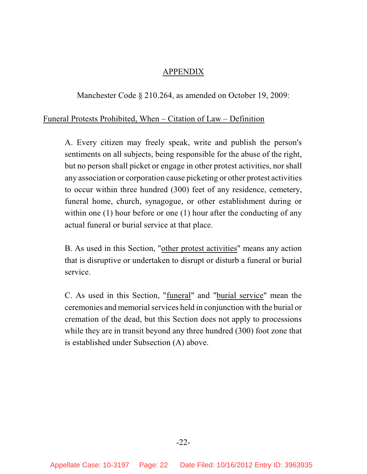# APPENDIX

Manchester Code § 210.264, as amended on October 19, 2009:

# Funeral Protests Prohibited, When – Citation of Law – Definition

A. Every citizen may freely speak, write and publish the person's sentiments on all subjects, being responsible for the abuse of the right, but no person shall picket or engage in other protest activities, nor shall any association or corporation cause picketing or other protest activities to occur within three hundred (300) feet of any residence, cemetery, funeral home, church, synagogue, or other establishment during or within one (1) hour before or one (1) hour after the conducting of any actual funeral or burial service at that place.

B. As used in this Section, "other protest activities" means any action that is disruptive or undertaken to disrupt or disturb a funeral or burial service.

C. As used in this Section, "funeral" and "burial service" mean the ceremonies and memorial services held in conjunction with the burial or cremation of the dead, but this Section does not apply to processions while they are in transit beyond any three hundred (300) foot zone that is established under Subsection (A) above.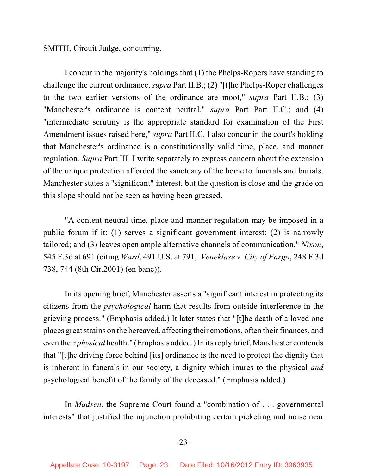SMITH, Circuit Judge, concurring.

I concur in the majority's holdings that (1) the Phelps-Ropers have standing to challenge the current ordinance, *supra* Part II.B.; (2) "[t]he Phelps-Roper challenges to the two earlier versions of the ordinance are moot," *supra* Part II.B.; (3) "Manchester's ordinance is content neutral," *supra* Part Part II.C.; and (4) "intermediate scrutiny is the appropriate standard for examination of the First Amendment issues raised here," *supra* Part II.C. I also concur in the court's holding that Manchester's ordinance is a constitutionally valid time, place, and manner regulation. *Supra* Part III. I write separately to express concern about the extension of the unique protection afforded the sanctuary of the home to funerals and burials. Manchester states a "significant" interest, but the question is close and the grade on this slope should not be seen as having been greased.

"A content-neutral time, place and manner regulation may be imposed in a public forum if it: (1) serves a significant government interest; (2) is narrowly tailored; and (3) leaves open ample alternative channels of communication." *Nixon*, 545 F.3d at 691 (citing *Ward*, 491 U.S. at 791; *Veneklase v. City of Fargo*, 248 F.3d 738, 744 (8th Cir.2001) (en banc)).

In its opening brief, Manchester asserts a "significant interest in protecting its citizens from the *psychological* harm that results from outside interference in the grieving process." (Emphasis added.) It later states that "[t]he death of a loved one places great strains on the bereaved, affecting their emotions, often their finances, and even their *physical* health." (Emphasis added.) In its reply brief, Manchester contends that "[t]he driving force behind [its] ordinance is the need to protect the dignity that is inherent in funerals in our society, a dignity which inures to the physical *and* psychological benefit of the family of the deceased." (Emphasis added.)

In *Madsen*, the Supreme Court found a "combination of . . . governmental interests" that justified the injunction prohibiting certain picketing and noise near

## -23-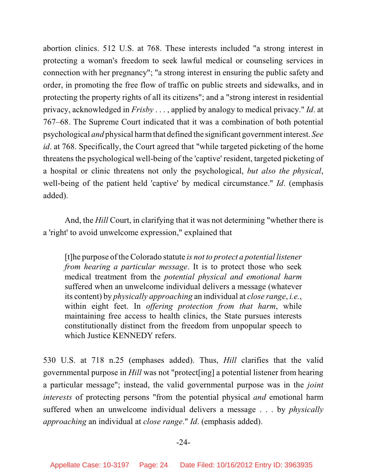abortion clinics. 512 U.S. at 768. These interests included "a strong interest in protecting a woman's freedom to seek lawful medical or counseling services in connection with her pregnancy"; "a strong interest in ensuring the public safety and order, in promoting the free flow of traffic on public streets and sidewalks, and in protecting the property rights of all its citizens"; and a "strong interest in residential privacy, acknowledged in *Frisby* . . . , applied by analogy to medical privacy." *Id*. at 767–68. The Supreme Court indicated that it was a combination of both potential psychological *and* physical harm that defined the significant government interest. *See id*. at 768. Specifically, the Court agreed that "while targeted picketing of the home threatens the psychological well-being of the 'captive' resident, targeted picketing of a hospital or clinic threatens not only the psychological, *but also the physical*, well-being of the patient held 'captive' by medical circumstance." *Id*. (emphasis added).

And, the *Hill* Court, in clarifying that it was not determining "whether there is a 'right' to avoid unwelcome expression," explained that

[t]he purpose of the Colorado statute *is not to protect a potential listener from hearing a particular message*. It is to protect those who seek medical treatment from the *potential physical and emotional harm* suffered when an unwelcome individual delivers a message (whatever its content) by *physically approaching* an individual at *close range*, *i.e.*, within eight feet. In *offering protection from that harm*, while maintaining free access to health clinics, the State pursues interests constitutionally distinct from the freedom from unpopular speech to which Justice KENNEDY refers.

530 U.S. at 718 n.25 (emphases added). Thus, *Hill* clarifies that the valid governmental purpose in *Hill* was not "protect[ing] a potential listener from hearing a particular message"; instead, the valid governmental purpose was in the *joint interests* of protecting persons "from the potential physical *and* emotional harm suffered when an unwelcome individual delivers a message . . . by *physically approaching* an individual at *close range*." *Id*. (emphasis added).